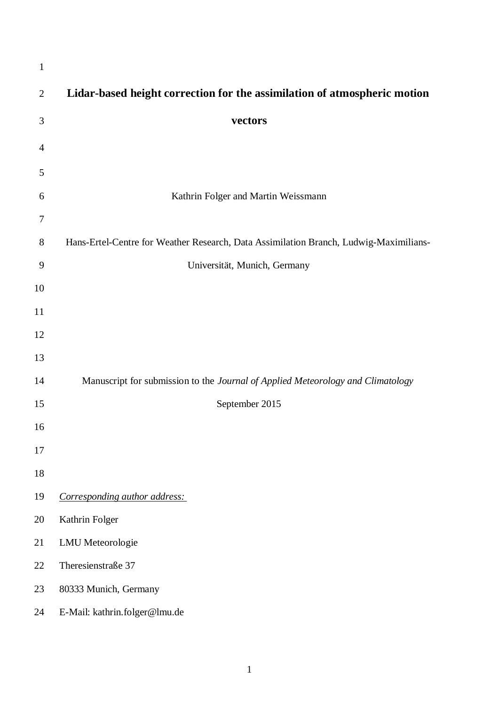| $\mathbf{1}$   |                                                                                       |
|----------------|---------------------------------------------------------------------------------------|
| $\overline{2}$ | Lidar-based height correction for the assimilation of atmospheric motion              |
| 3              | vectors                                                                               |
| 4              |                                                                                       |
| 5              |                                                                                       |
| 6              | Kathrin Folger and Martin Weissmann                                                   |
| 7              |                                                                                       |
| 8              | Hans-Ertel-Centre for Weather Research, Data Assimilation Branch, Ludwig-Maximilians- |
| 9              | Universität, Munich, Germany                                                          |
| 10             |                                                                                       |
| 11             |                                                                                       |
| 12             |                                                                                       |
| 13             |                                                                                       |
| 14             | Manuscript for submission to the Journal of Applied Meteorology and Climatology       |
| 15             | September 2015                                                                        |
| 16             |                                                                                       |
| 17             |                                                                                       |
| 18             |                                                                                       |
| 19             | Corresponding author address:                                                         |
| 20             | Kathrin Folger                                                                        |
| 21             | <b>LMU</b> Meteorologie                                                               |
| 22             | Theresienstraße 37                                                                    |
| 23             | 80333 Munich, Germany                                                                 |
| 24             | E-Mail: kathrin.folger@lmu.de                                                         |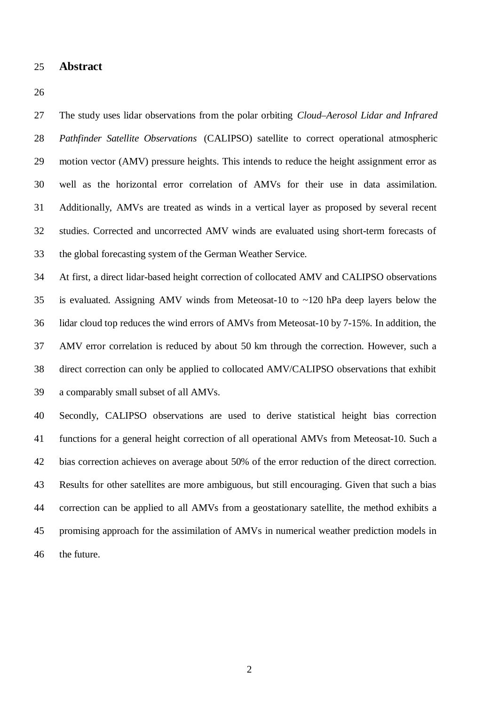**Abstract**

 The study uses lidar observations from the polar orbiting *Cloud–Aerosol Lidar and Infrared Pathfinder Satellite Observations* (CALIPSO) satellite to correct operational atmospheric motion vector (AMV) pressure heights. This intends to reduce the height assignment error as well as the horizontal error correlation of AMVs for their use in data assimilation. Additionally, AMVs are treated as winds in a vertical layer as proposed by several recent studies. Corrected and uncorrected AMV winds are evaluated using short-term forecasts of the global forecasting system of the German Weather Service.

 At first, a direct lidar-based height correction of collocated AMV and CALIPSO observations is evaluated. Assigning AMV winds from Meteosat-10 to ~120 hPa deep layers below the lidar cloud top reduces the wind errors of AMVs from Meteosat-10 by 7-15%. In addition, the AMV error correlation is reduced by about 50 km through the correction. However, such a direct correction can only be applied to collocated AMV/CALIPSO observations that exhibit a comparably small subset of all AMVs.

 Secondly, CALIPSO observations are used to derive statistical height bias correction functions for a general height correction of all operational AMVs from Meteosat-10. Such a bias correction achieves on average about 50% of the error reduction of the direct correction. Results for other satellites are more ambiguous, but still encouraging. Given that such a bias correction can be applied to all AMVs from a geostationary satellite, the method exhibits a promising approach for the assimilation of AMVs in numerical weather prediction models in the future.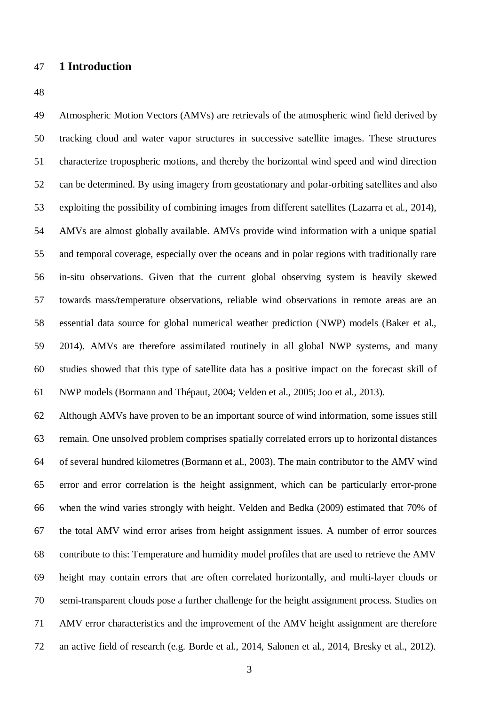## **1 Introduction**

 Atmospheric Motion Vectors (AMVs) are retrievals of the atmospheric wind field derived by tracking cloud and water vapor structures in successive satellite images. These structures characterize tropospheric motions, and thereby the horizontal wind speed and wind direction can be determined. By using imagery from geostationary and polar-orbiting satellites and also exploiting the possibility of combining images from different satellites (Lazarra et al., 2014), AMVs are almost globally available. AMVs provide wind information with a unique spatial and temporal coverage, especially over the oceans and in polar regions with traditionally rare in-situ observations. Given that the current global observing system is heavily skewed towards mass/temperature observations, reliable wind observations in remote areas are an essential data source for global numerical weather prediction (NWP) models (Baker et al., 2014). AMVs are therefore assimilated routinely in all global NWP systems, and many studies showed that this type of satellite data has a positive impact on the forecast skill of NWP models (Bormann and Thépaut, 2004; Velden et al., 2005; Joo et al., 2013).

 Although AMVs have proven to be an important source of wind information, some issues still remain. One unsolved problem comprises spatially correlated errors up to horizontal distances of several hundred kilometres (Bormann et al., 2003). The main contributor to the AMV wind error and error correlation is the height assignment, which can be particularly error-prone when the wind varies strongly with height. Velden and Bedka (2009) estimated that 70% of the total AMV wind error arises from height assignment issues. A number of error sources contribute to this: Temperature and humidity model profiles that are used to retrieve the AMV height may contain errors that are often correlated horizontally, and multi-layer clouds or semi-transparent clouds pose a further challenge for the height assignment process. Studies on AMV error characteristics and the improvement of the AMV height assignment are therefore an active field of research (e.g. Borde et al., 2014, Salonen et al., 2014, Bresky et al., 2012).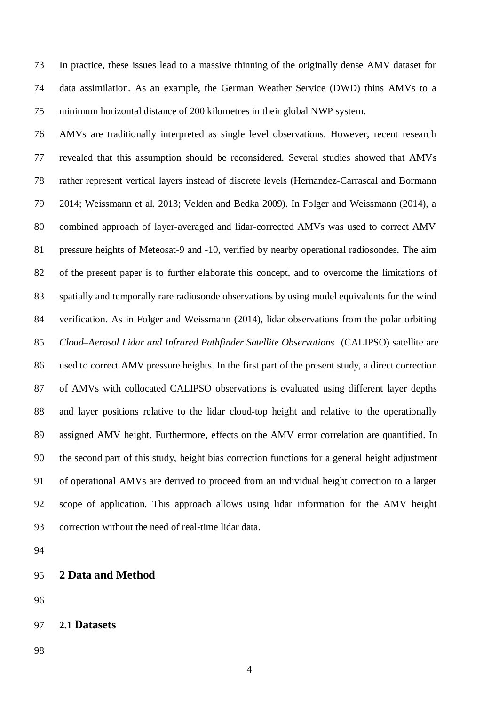In practice, these issues lead to a massive thinning of the originally dense AMV dataset for data assimilation. As an example, the German Weather Service (DWD) thins AMVs to a minimum horizontal distance of 200 kilometres in their global NWP system.

 AMVs are traditionally interpreted as single level observations. However, recent research revealed that this assumption should be reconsidered. Several studies showed that AMVs rather represent vertical layers instead of discrete levels (Hernandez-Carrascal and Bormann 2014; Weissmann et al. 2013; Velden and Bedka 2009). In Folger and Weissmann (2014), a combined approach of layer-averaged and lidar-corrected AMVs was used to correct AMV pressure heights of Meteosat-9 and -10, verified by nearby operational radiosondes. The aim of the present paper is to further elaborate this concept, and to overcome the limitations of spatially and temporally rare radiosonde observations by using model equivalents for the wind verification. As in Folger and Weissmann (2014), lidar observations from the polar orbiting *Cloud–Aerosol Lidar and Infrared Pathfinder Satellite Observations* (CALIPSO) satellite are used to correct AMV pressure heights. In the first part of the present study, a direct correction of AMVs with collocated CALIPSO observations is evaluated using different layer depths and layer positions relative to the lidar cloud-top height and relative to the operationally assigned AMV height. Furthermore, effects on the AMV error correlation are quantified. In the second part of this study, height bias correction functions for a general height adjustment of operational AMVs are derived to proceed from an individual height correction to a larger scope of application. This approach allows using lidar information for the AMV height correction without the need of real-time lidar data.

| 2 Data and Method<br>95 |  |
|-------------------------|--|
|-------------------------|--|

```
97 2.1 Datasets
```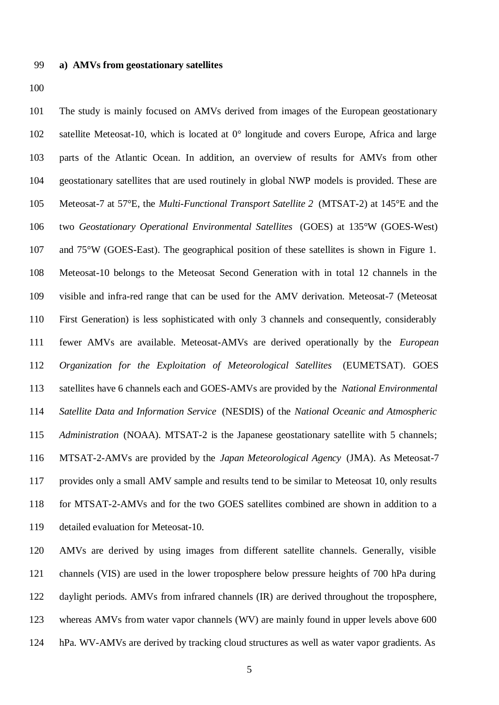#### **a) AMVs from geostationary satellites**

 The study is mainly focused on AMVs derived from images of the European geostationary satellite Meteosat-10, which is located at 0° longitude and covers Europe, Africa and large parts of the Atlantic Ocean. In addition, an overview of results for AMVs from other geostationary satellites that are used routinely in global NWP models is provided. These are Meteosat-7 at 57°E, the *Multi-Functional Transport Satellite 2* (MTSAT-2) at 145°E and the two *Geostationary Operational Environmental Satellites* (GOES) at 135°W (GOES-West) and 75°W (GOES-East). The geographical position of these satellites is shown in Figure 1. Meteosat-10 belongs to the Meteosat Second Generation with in total 12 channels in the visible and infra-red range that can be used for the AMV derivation. Meteosat-7 (Meteosat First Generation) is less sophisticated with only 3 channels and consequently, considerably fewer AMVs are available. Meteosat-AMVs are derived operationally by the *European Organization for the Exploitation of Meteorological Satellites* (EUMETSAT). GOES satellites have 6 channels each and GOES-AMVs are provided by the *National Environmental Satellite Data and Information Service* (NESDIS) of the *National Oceanic and Atmospheric Administration* (NOAA). MTSAT-2 is the Japanese geostationary satellite with 5 channels; MTSAT-2-AMVs are provided by the *Japan Meteorological Agency* (JMA). As Meteosat-7 provides only a small AMV sample and results tend to be similar to Meteosat 10, only results for MTSAT-2-AMVs and for the two GOES satellites combined are shown in addition to a detailed evaluation for Meteosat-10.

 AMVs are derived by using images from different satellite channels. Generally, visible channels (VIS) are used in the lower troposphere below pressure heights of 700 hPa during daylight periods. AMVs from infrared channels (IR) are derived throughout the troposphere, whereas AMVs from water vapor channels (WV) are mainly found in upper levels above 600 hPa. WV-AMVs are derived by tracking cloud structures as well as water vapor gradients. As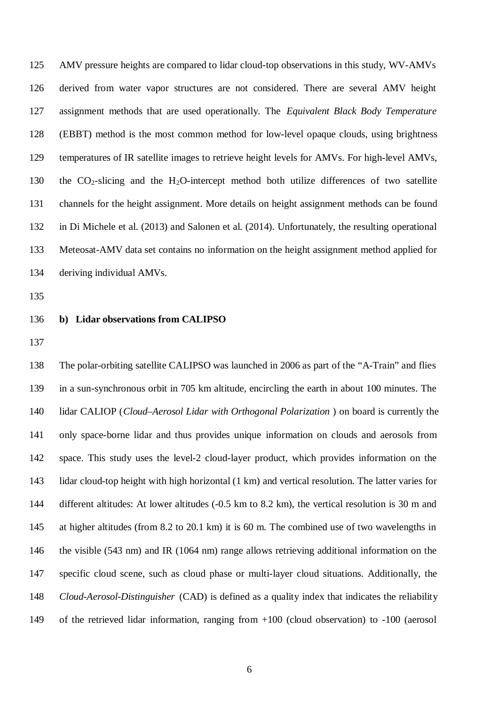AMV pressure heights are compared to lidar cloud-top observations in this study, WV-AMVs derived from water vapor structures are not considered. There are several AMV height assignment methods that are used operationally. The *Equivalent Black Body Temperature* (EBBT) method is the most common method for low-level opaque clouds, using brightness temperatures of IR satellite images to retrieve height levels for AMVs. For high-level AMVs, 130 the  $CO<sub>2</sub>$ -slicing and the H<sub>2</sub>O-intercept method both utilize differences of two satellite channels for the height assignment. More details on height assignment methods can be found in Di Michele et al. (2013) and Salonen et al. (2014). Unfortunately, the resulting operational Meteosat-AMV data set contains no information on the height assignment method applied for deriving individual AMVs.

#### **b) Lidar observations from CALIPSO**

 The polar-orbiting satellite CALIPSO was launched in 2006 as part of the "A-Train" and flies in a sun-synchronous orbit in 705 km altitude, encircling the earth in about 100 minutes. The lidar CALIOP (*Cloud–Aerosol Lidar with Orthogonal Polarization* ) on board is currently the only space-borne lidar and thus provides unique information on clouds and aerosols from space. This study uses the level-2 cloud-layer product, which provides information on the lidar cloud-top height with high horizontal (1 km) and vertical resolution. The latter varies for different altitudes: At lower altitudes (-0.5 km to 8.2 km), the vertical resolution is 30 m and at higher altitudes (from 8.2 to 20.1 km) it is 60 m. The combined use of two wavelengths in the visible (543 nm) and IR (1064 nm) range allows retrieving additional information on the specific cloud scene, such as cloud phase or multi-layer cloud situations. Additionally, the *Cloud-Aerosol-Distinguisher* (CAD) is defined as a quality index that indicates the reliability of the retrieved lidar information, ranging from +100 (cloud observation) to -100 (aerosol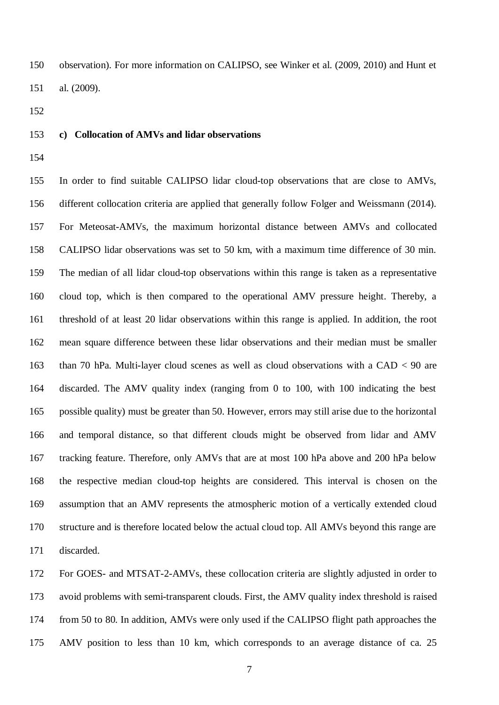observation). For more information on CALIPSO, see Winker et al. (2009, 2010) and Hunt et al. (2009).

## **c) Collocation of AMVs and lidar observations**

 In order to find suitable CALIPSO lidar cloud-top observations that are close to AMVs, different collocation criteria are applied that generally follow Folger and Weissmann (2014). For Meteosat-AMVs, the maximum horizontal distance between AMVs and collocated CALIPSO lidar observations was set to 50 km, with a maximum time difference of 30 min. The median of all lidar cloud-top observations within this range is taken as a representative cloud top, which is then compared to the operational AMV pressure height. Thereby, a threshold of at least 20 lidar observations within this range is applied. In addition, the root mean square difference between these lidar observations and their median must be smaller than 70 hPa. Multi-layer cloud scenes as well as cloud observations with a CAD < 90 are discarded. The AMV quality index (ranging from 0 to 100, with 100 indicating the best possible quality) must be greater than 50. However, errors may still arise due to the horizontal and temporal distance, so that different clouds might be observed from lidar and AMV tracking feature. Therefore, only AMVs that are at most 100 hPa above and 200 hPa below the respective median cloud-top heights are considered. This interval is chosen on the assumption that an AMV represents the atmospheric motion of a vertically extended cloud structure and is therefore located below the actual cloud top. All AMVs beyond this range are discarded.

 For GOES- and MTSAT-2-AMVs, these collocation criteria are slightly adjusted in order to avoid problems with semi-transparent clouds. First, the AMV quality index threshold is raised from 50 to 80. In addition, AMVs were only used if the CALIPSO flight path approaches the AMV position to less than 10 km, which corresponds to an average distance of ca. 25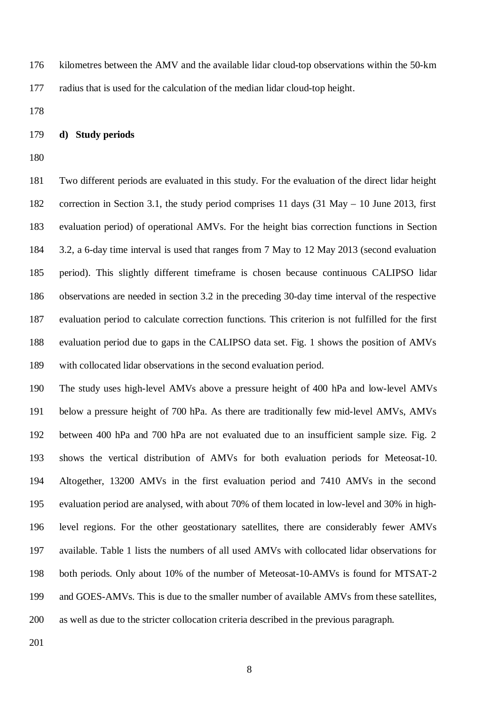kilometres between the AMV and the available lidar cloud-top observations within the 50-km radius that is used for the calculation of the median lidar cloud-top height.

#### **d) Study periods**

 Two different periods are evaluated in this study. For the evaluation of the direct lidar height correction in Section 3.1, the study period comprises 11 days (31 May – 10 June 2013, first evaluation period) of operational AMVs. For the height bias correction functions in Section 3.2, a 6-day time interval is used that ranges from 7 May to 12 May 2013 (second evaluation period). This slightly different timeframe is chosen because continuous CALIPSO lidar observations are needed in section 3.2 in the preceding 30-day time interval of the respective evaluation period to calculate correction functions. This criterion is not fulfilled for the first evaluation period due to gaps in the CALIPSO data set. Fig. 1 shows the position of AMVs with collocated lidar observations in the second evaluation period.

 The study uses high-level AMVs above a pressure height of 400 hPa and low-level AMVs below a pressure height of 700 hPa. As there are traditionally few mid-level AMVs, AMVs between 400 hPa and 700 hPa are not evaluated due to an insufficient sample size. Fig. 2 shows the vertical distribution of AMVs for both evaluation periods for Meteosat-10. Altogether, 13200 AMVs in the first evaluation period and 7410 AMVs in the second evaluation period are analysed, with about 70% of them located in low-level and 30% in high- level regions. For the other geostationary satellites, there are considerably fewer AMVs available. Table 1 lists the numbers of all used AMVs with collocated lidar observations for both periods. Only about 10% of the number of Meteosat-10-AMVs is found for MTSAT-2 and GOES-AMVs. This is due to the smaller number of available AMVs from these satellites, as well as due to the stricter collocation criteria described in the previous paragraph.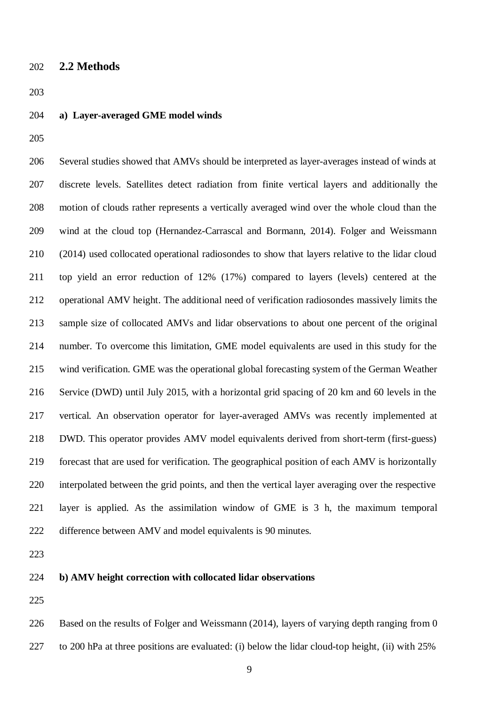## **2.2 Methods**

- **a) Layer-averaged GME model winds**
- 

 Several studies showed that AMVs should be interpreted as layer-averages instead of winds at discrete levels. Satellites detect radiation from finite vertical layers and additionally the motion of clouds rather represents a vertically averaged wind over the whole cloud than the wind at the cloud top (Hernandez-Carrascal and Bormann, 2014). Folger and Weissmann (2014) used collocated operational radiosondes to show that layers relative to the lidar cloud top yield an error reduction of 12% (17%) compared to layers (levels) centered at the operational AMV height. The additional need of verification radiosondes massively limits the sample size of collocated AMVs and lidar observations to about one percent of the original number. To overcome this limitation, GME model equivalents are used in this study for the wind verification. GME was the operational global forecasting system of the German Weather Service (DWD) until July 2015, with a horizontal grid spacing of 20 km and 60 levels in the vertical. An observation operator for layer-averaged AMVs was recently implemented at DWD. This operator provides AMV model equivalents derived from short-term (first-guess) forecast that are used for verification. The geographical position of each AMV is horizontally interpolated between the grid points, and then the vertical layer averaging over the respective layer is applied. As the assimilation window of GME is 3 h, the maximum temporal difference between AMV and model equivalents is 90 minutes.

- **b) AMV height correction with collocated lidar observations**
- 

 Based on the results of Folger and Weissmann (2014), layers of varying depth ranging from 0 to 200 hPa at three positions are evaluated: (i) below the lidar cloud-top height, (ii) with 25%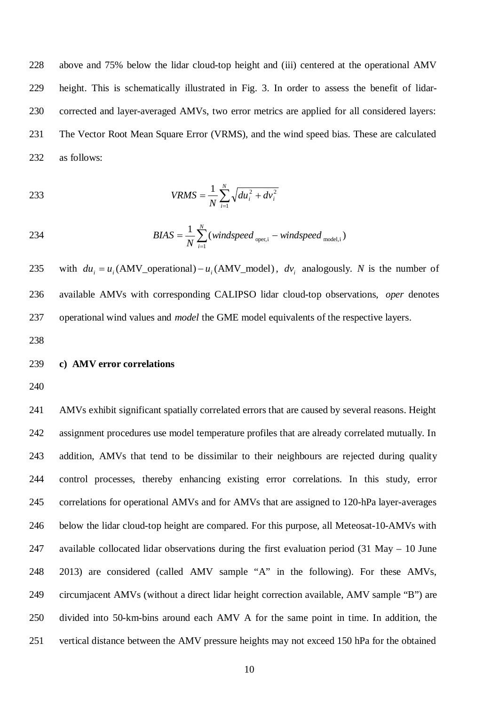above and 75% below the lidar cloud-top height and (iii) centered at the operational AMV height. This is schematically illustrated in Fig. 3. In order to assess the benefit of lidar- corrected and layer-averaged AMVs, two error metrics are applied for all considered layers: The Vector Root Mean Square Error (VRMS), and the wind speed bias. These are calculated as follows:

233 
$$
VRMS = \frac{1}{N} \sum_{i=1}^{N} \sqrt{du_i^2 + dv_i^2}
$$

234 
$$
BIAS = \frac{1}{N} \sum_{i=1}^{N} (windspeed_{\text{oper},i} - windspeed_{\text{model},i})
$$

235 with  $du_i = u_i$  (AMV\_operational) –  $u_i$  (AMV\_model),  $dv_i$  analogously. *N* is the number of available AMVs with corresponding CALIPSO lidar cloud-top observations, *oper* denotes operational wind values and *model* the GME model equivalents of the respective layers.

## **c) AMV error correlations**

 AMVs exhibit significant spatially correlated errors that are caused by several reasons. Height assignment procedures use model temperature profiles that are already correlated mutually. In 243 addition, AMVs that tend to be dissimilar to their neighbours are rejected during quality control processes, thereby enhancing existing error correlations. In this study, error correlations for operational AMVs and for AMVs that are assigned to 120-hPa layer-averages below the lidar cloud-top height are compared. For this purpose, all Meteosat-10-AMVs with available collocated lidar observations during the first evaluation period (31 May – 10 June 2013) are considered (called AMV sample "A" in the following). For these AMVs, circumjacent AMVs (without a direct lidar height correction available, AMV sample "B") are divided into 50-km-bins around each AMV A for the same point in time. In addition, the vertical distance between the AMV pressure heights may not exceed 150 hPa for the obtained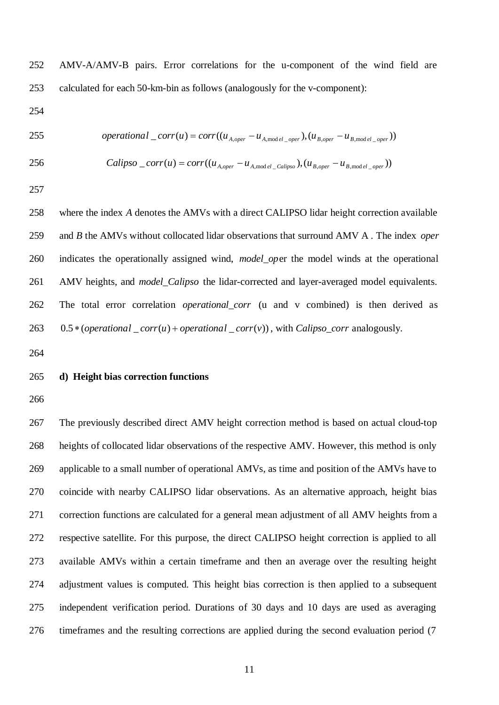AMV-A/AMV-B pairs. Error correlations for the u-component of the wind field are calculated for each 50-km-bin as follows (analogously for the v-component):

$$
255
$$
 operational <sub>corr</sub>(*u*) = corr(( $u_{A,oper} - u_{A,model\_oper}$ ), ( $u_{B,oper} - u_{B,model\_oper}$ ))

$$
256
$$

256 *Calipso* 
$$
\_{corr}(u) = corr((u_{A,oper} - u_{A,model\_Calipso}), (u_{B,oper} - u_{B,model\_oper}))
$$

 where the index *A* denotes the AMVs with a direct CALIPSO lidar height correction available and *B* the AMVs without collocated lidar observations that surround AMV A . The index *oper* indicates the operationally assigned wind, *model\_op*er the model winds at the operational AMV heights, and *model\_Calipso* the lidar-corrected and layer-averaged model equivalents. The total error correlation *operational\_corr* (u and v combined) is then derived as 263 0.5  $*(\text{operational\_corr}(u) + \text{operational\_corr}(v))$ , with *Calipso\_corr* analogously.

# **d) Height bias correction functions**

 The previously described direct AMV height correction method is based on actual cloud-top heights of collocated lidar observations of the respective AMV. However, this method is only applicable to a small number of operational AMVs, as time and position of the AMVs have to coincide with nearby CALIPSO lidar observations. As an alternative approach, height bias correction functions are calculated for a general mean adjustment of all AMV heights from a respective satellite. For this purpose, the direct CALIPSO height correction is applied to all available AMVs within a certain timeframe and then an average over the resulting height adjustment values is computed. This height bias correction is then applied to a subsequent independent verification period. Durations of 30 days and 10 days are used as averaging timeframes and the resulting corrections are applied during the second evaluation period (7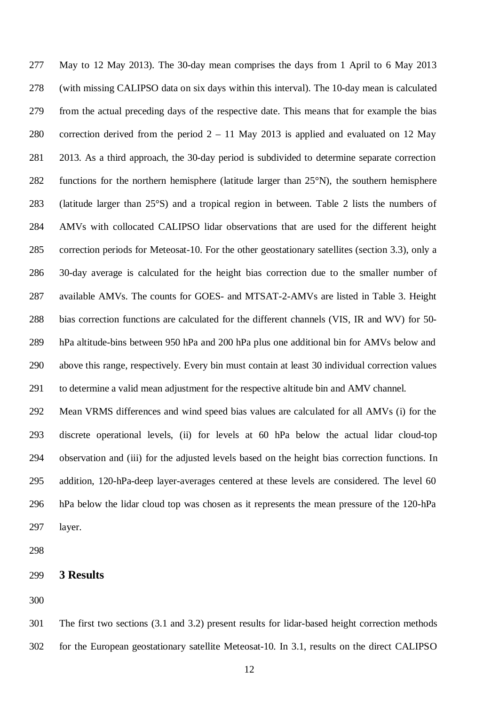May to 12 May 2013). The 30-day mean comprises the days from 1 April to 6 May 2013 (with missing CALIPSO data on six days within this interval). The 10-day mean is calculated from the actual preceding days of the respective date. This means that for example the bias correction derived from the period 2 – 11 May 2013 is applied and evaluated on 12 May 2013. As a third approach, the 30-day period is subdivided to determine separate correction functions for the northern hemisphere (latitude larger than 25°N), the southern hemisphere (latitude larger than 25°S) and a tropical region in between. Table 2 lists the numbers of AMVs with collocated CALIPSO lidar observations that are used for the different height correction periods for Meteosat-10. For the other geostationary satellites (section 3.3), only a 30-day average is calculated for the height bias correction due to the smaller number of available AMVs. The counts for GOES- and MTSAT-2-AMVs are listed in Table 3. Height bias correction functions are calculated for the different channels (VIS, IR and WV) for 50- hPa altitude-bins between 950 hPa and 200 hPa plus one additional bin for AMVs below and above this range, respectively. Every bin must contain at least 30 individual correction values to determine a valid mean adjustment for the respective altitude bin and AMV channel.

 Mean VRMS differences and wind speed bias values are calculated for all AMVs (i) for the discrete operational levels, (ii) for levels at 60 hPa below the actual lidar cloud-top observation and (iii) for the adjusted levels based on the height bias correction functions. In addition, 120-hPa-deep layer-averages centered at these levels are considered. The level 60 hPa below the lidar cloud top was chosen as it represents the mean pressure of the 120-hPa layer.

**3 Results**

 The first two sections (3.1 and 3.2) present results for lidar-based height correction methods for the European geostationary satellite Meteosat-10. In 3.1, results on the direct CALIPSO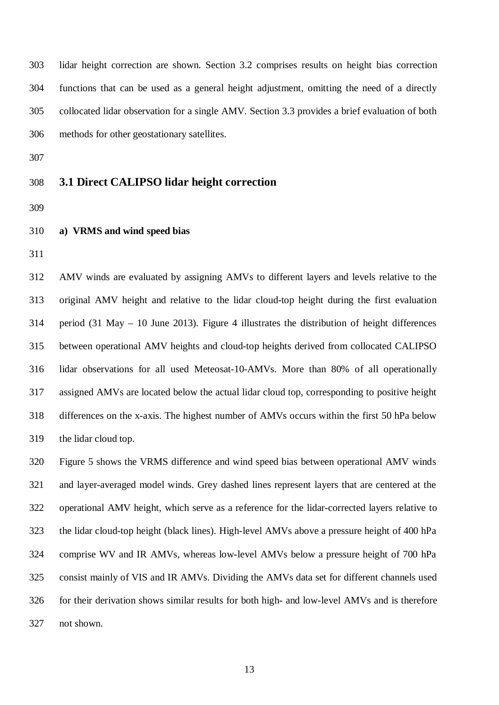lidar height correction are shown. Section 3.2 comprises results on height bias correction functions that can be used as a general height adjustment, omitting the need of a directly collocated lidar observation for a single AMV. Section 3.3 provides a brief evaluation of both methods for other geostationary satellites.

# **3.1 Direct CALIPSO lidar height correction**

- 
- **a) VRMS and wind speed bias**
- 

 AMV winds are evaluated by assigning AMVs to different layers and levels relative to the original AMV height and relative to the lidar cloud-top height during the first evaluation period (31 May – 10 June 2013). Figure 4 illustrates the distribution of height differences between operational AMV heights and cloud-top heights derived from collocated CALIPSO lidar observations for all used Meteosat-10-AMVs. More than 80% of all operationally assigned AMVs are located below the actual lidar cloud top, corresponding to positive height differences on the x-axis. The highest number of AMVs occurs within the first 50 hPa below the lidar cloud top.

 Figure 5 shows the VRMS difference and wind speed bias between operational AMV winds and layer-averaged model winds. Grey dashed lines represent layers that are centered at the operational AMV height, which serve as a reference for the lidar-corrected layers relative to the lidar cloud-top height (black lines). High-level AMVs above a pressure height of 400 hPa comprise WV and IR AMVs, whereas low-level AMVs below a pressure height of 700 hPa consist mainly of VIS and IR AMVs. Dividing the AMVs data set for different channels used for their derivation shows similar results for both high- and low-level AMVs and is therefore not shown.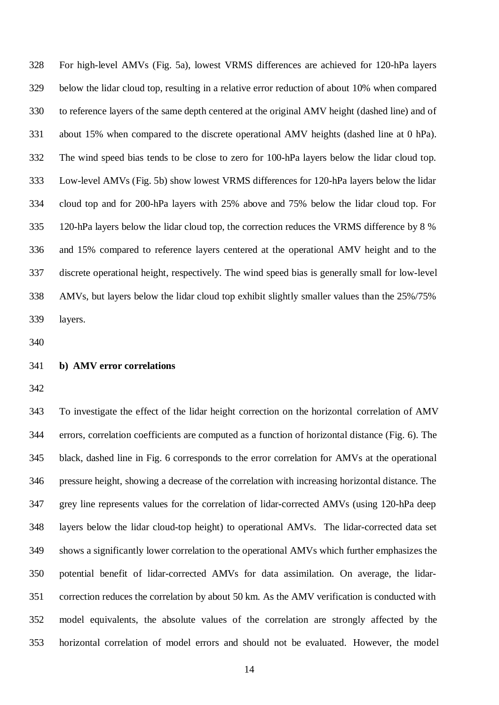For high-level AMVs (Fig. 5a), lowest VRMS differences are achieved for 120-hPa layers below the lidar cloud top, resulting in a relative error reduction of about 10% when compared to reference layers of the same depth centered at the original AMV height (dashed line) and of about 15% when compared to the discrete operational AMV heights (dashed line at 0 hPa). The wind speed bias tends to be close to zero for 100-hPa layers below the lidar cloud top. Low-level AMVs (Fig. 5b) show lowest VRMS differences for 120-hPa layers below the lidar cloud top and for 200-hPa layers with 25% above and 75% below the lidar cloud top. For 120-hPa layers below the lidar cloud top, the correction reduces the VRMS difference by 8 % and 15% compared to reference layers centered at the operational AMV height and to the discrete operational height, respectively. The wind speed bias is generally small for low-level AMVs, but layers below the lidar cloud top exhibit slightly smaller values than the 25%/75% layers.

#### **b) AMV error correlations**

 To investigate the effect of the lidar height correction on the horizontal correlation of AMV errors, correlation coefficients are computed as a function of horizontal distance (Fig. 6). The black, dashed line in Fig. 6 corresponds to the error correlation for AMVs at the operational pressure height, showing a decrease of the correlation with increasing horizontal distance. The grey line represents values for the correlation of lidar-corrected AMVs (using 120-hPa deep layers below the lidar cloud-top height) to operational AMVs. The lidar-corrected data set shows a significantly lower correlation to the operational AMVs which further emphasizes the potential benefit of lidar-corrected AMVs for data assimilation. On average, the lidar- correction reduces the correlation by about 50 km. As the AMV verification is conducted with model equivalents, the absolute values of the correlation are strongly affected by the horizontal correlation of model errors and should not be evaluated. However, the model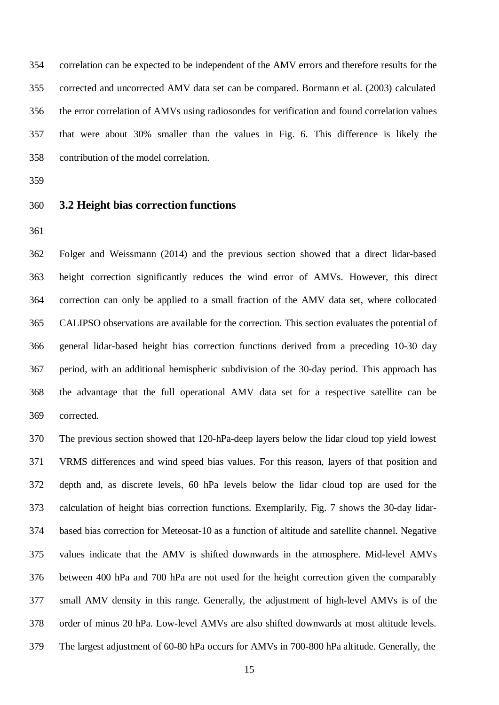correlation can be expected to be independent of the AMV errors and therefore results for the corrected and uncorrected AMV data set can be compared. Bormann et al. (2003) calculated the error correlation of AMVs using radiosondes for verification and found correlation values that were about 30% smaller than the values in Fig. 6. This difference is likely the contribution of the model correlation.

## **3.2 Height bias correction functions**

 Folger and Weissmann (2014) and the previous section showed that a direct lidar-based height correction significantly reduces the wind error of AMVs. However, this direct correction can only be applied to a small fraction of the AMV data set, where collocated CALIPSO observations are available for the correction. This section evaluates the potential of general lidar-based height bias correction functions derived from a preceding 10-30 day period, with an additional hemispheric subdivision of the 30-day period. This approach has the advantage that the full operational AMV data set for a respective satellite can be corrected.

 The previous section showed that 120-hPa-deep layers below the lidar cloud top yield lowest VRMS differences and wind speed bias values. For this reason, layers of that position and depth and, as discrete levels, 60 hPa levels below the lidar cloud top are used for the calculation of height bias correction functions. Exemplarily, Fig. 7 shows the 30-day lidar- based bias correction for Meteosat-10 as a function of altitude and satellite channel. Negative values indicate that the AMV is shifted downwards in the atmosphere. Mid-level AMVs between 400 hPa and 700 hPa are not used for the height correction given the comparably small AMV density in this range. Generally, the adjustment of high-level AMVs is of the order of minus 20 hPa. Low-level AMVs are also shifted downwards at most altitude levels. The largest adjustment of 60-80 hPa occurs for AMVs in 700-800 hPa altitude. Generally, the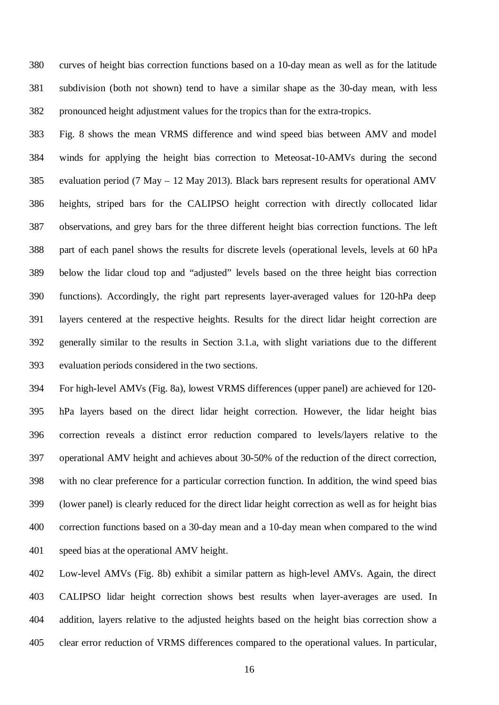curves of height bias correction functions based on a 10-day mean as well as for the latitude subdivision (both not shown) tend to have a similar shape as the 30-day mean, with less pronounced height adjustment values for the tropics than for the extra-tropics.

 Fig. 8 shows the mean VRMS difference and wind speed bias between AMV and model winds for applying the height bias correction to Meteosat-10-AMVs during the second evaluation period (7 May – 12 May 2013). Black bars represent results for operational AMV heights, striped bars for the CALIPSO height correction with directly collocated lidar observations, and grey bars for the three different height bias correction functions. The left part of each panel shows the results for discrete levels (operational levels, levels at 60 hPa below the lidar cloud top and "adjusted" levels based on the three height bias correction functions). Accordingly, the right part represents layer-averaged values for 120-hPa deep layers centered at the respective heights. Results for the direct lidar height correction are generally similar to the results in Section 3.1.a, with slight variations due to the different evaluation periods considered in the two sections.

 For high-level AMVs (Fig. 8a), lowest VRMS differences (upper panel) are achieved for 120- hPa layers based on the direct lidar height correction. However, the lidar height bias correction reveals a distinct error reduction compared to levels/layers relative to the operational AMV height and achieves about 30-50% of the reduction of the direct correction, with no clear preference for a particular correction function. In addition, the wind speed bias (lower panel) is clearly reduced for the direct lidar height correction as well as for height bias correction functions based on a 30-day mean and a 10-day mean when compared to the wind speed bias at the operational AMV height.

 Low-level AMVs (Fig. 8b) exhibit a similar pattern as high-level AMVs. Again, the direct CALIPSO lidar height correction shows best results when layer-averages are used. In addition, layers relative to the adjusted heights based on the height bias correction show a clear error reduction of VRMS differences compared to the operational values. In particular,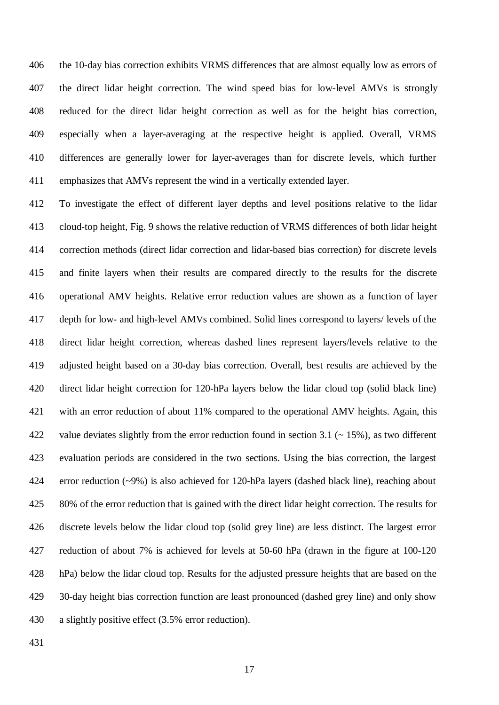the 10-day bias correction exhibits VRMS differences that are almost equally low as errors of the direct lidar height correction. The wind speed bias for low-level AMVs is strongly reduced for the direct lidar height correction as well as for the height bias correction, especially when a layer-averaging at the respective height is applied. Overall, VRMS differences are generally lower for layer-averages than for discrete levels, which further emphasizes that AMVs represent the wind in a vertically extended layer.

 To investigate the effect of different layer depths and level positions relative to the lidar cloud-top height, Fig. 9 shows the relative reduction of VRMS differences of both lidar height correction methods (direct lidar correction and lidar-based bias correction) for discrete levels and finite layers when their results are compared directly to the results for the discrete operational AMV heights. Relative error reduction values are shown as a function of layer depth for low- and high-level AMVs combined. Solid lines correspond to layers/ levels of the direct lidar height correction, whereas dashed lines represent layers/levels relative to the adjusted height based on a 30-day bias correction. Overall, best results are achieved by the direct lidar height correction for 120-hPa layers below the lidar cloud top (solid black line) with an error reduction of about 11% compared to the operational AMV heights. Again, this 422 value deviates slightly from the error reduction found in section 3.1 ( $\sim$  15%), as two different evaluation periods are considered in the two sections. Using the bias correction, the largest error reduction (~9%) is also achieved for 120-hPa layers (dashed black line), reaching about 80% of the error reduction that is gained with the direct lidar height correction. The results for discrete levels below the lidar cloud top (solid grey line) are less distinct. The largest error reduction of about 7% is achieved for levels at 50-60 hPa (drawn in the figure at 100-120 hPa) below the lidar cloud top. Results for the adjusted pressure heights that are based on the 30-day height bias correction function are least pronounced (dashed grey line) and only show a slightly positive effect (3.5% error reduction).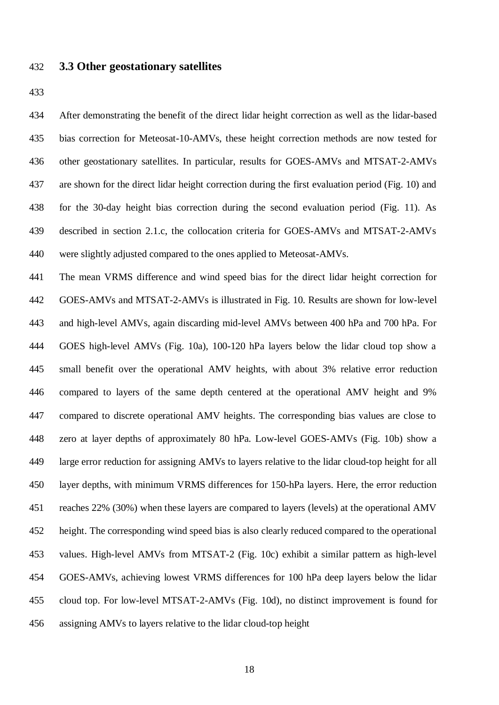#### **3.3 Other geostationary satellites**

 After demonstrating the benefit of the direct lidar height correction as well as the lidar-based bias correction for Meteosat-10-AMVs, these height correction methods are now tested for other geostationary satellites. In particular, results for GOES-AMVs and MTSAT-2-AMVs are shown for the direct lidar height correction during the first evaluation period (Fig. 10) and for the 30-day height bias correction during the second evaluation period (Fig. 11). As described in section 2.1.c, the collocation criteria for GOES-AMVs and MTSAT-2-AMVs were slightly adjusted compared to the ones applied to Meteosat-AMVs.

 The mean VRMS difference and wind speed bias for the direct lidar height correction for GOES-AMVs and MTSAT-2-AMVs is illustrated in Fig. 10. Results are shown for low-level and high-level AMVs, again discarding mid-level AMVs between 400 hPa and 700 hPa. For GOES high-level AMVs (Fig. 10a), 100-120 hPa layers below the lidar cloud top show a small benefit over the operational AMV heights, with about 3% relative error reduction compared to layers of the same depth centered at the operational AMV height and 9% compared to discrete operational AMV heights. The corresponding bias values are close to zero at layer depths of approximately 80 hPa. Low-level GOES-AMVs (Fig. 10b) show a large error reduction for assigning AMVs to layers relative to the lidar cloud-top height for all layer depths, with minimum VRMS differences for 150-hPa layers. Here, the error reduction reaches 22% (30%) when these layers are compared to layers (levels) at the operational AMV height. The corresponding wind speed bias is also clearly reduced compared to the operational values. High-level AMVs from MTSAT-2 (Fig. 10c) exhibit a similar pattern as high-level GOES-AMVs, achieving lowest VRMS differences for 100 hPa deep layers below the lidar cloud top. For low-level MTSAT-2-AMVs (Fig. 10d), no distinct improvement is found for assigning AMVs to layers relative to the lidar cloud-top height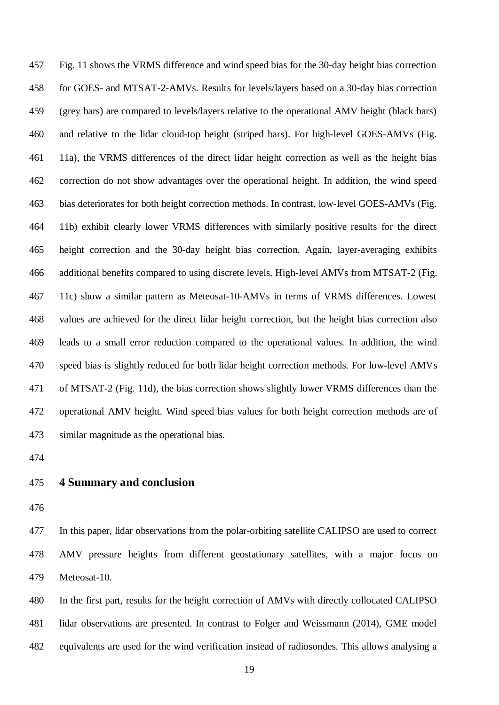Fig. 11 shows the VRMS difference and wind speed bias for the 30-day height bias correction for GOES- and MTSAT-2-AMVs. Results for levels/layers based on a 30-day bias correction (grey bars) are compared to levels/layers relative to the operational AMV height (black bars) and relative to the lidar cloud-top height (striped bars). For high-level GOES-AMVs (Fig. 11a), the VRMS differences of the direct lidar height correction as well as the height bias correction do not show advantages over the operational height. In addition, the wind speed bias deteriorates for both height correction methods. In contrast, low-level GOES-AMVs (Fig. 11b) exhibit clearly lower VRMS differences with similarly positive results for the direct height correction and the 30-day height bias correction. Again, layer-averaging exhibits additional benefits compared to using discrete levels. High-level AMVs from MTSAT-2 (Fig. 11c) show a similar pattern as Meteosat-10-AMVs in terms of VRMS differences. Lowest values are achieved for the direct lidar height correction, but the height bias correction also leads to a small error reduction compared to the operational values. In addition, the wind speed bias is slightly reduced for both lidar height correction methods. For low-level AMVs of MTSAT-2 (Fig. 11d), the bias correction shows slightly lower VRMS differences than the operational AMV height. Wind speed bias values for both height correction methods are of similar magnitude as the operational bias.

## **4 Summary and conclusion**

 In this paper, lidar observations from the polar-orbiting satellite CALIPSO are used to correct AMV pressure heights from different geostationary satellites, with a major focus on Meteosat-10.

 In the first part, results for the height correction of AMVs with directly collocated CALIPSO lidar observations are presented. In contrast to Folger and Weissmann (2014), GME model equivalents are used for the wind verification instead of radiosondes. This allows analysing a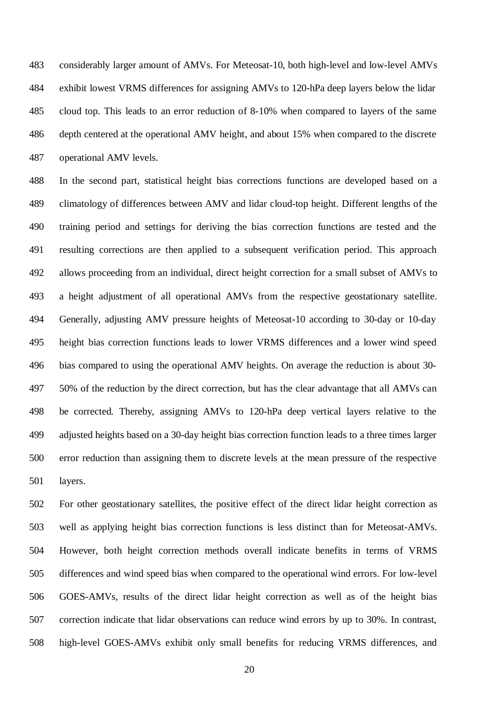considerably larger amount of AMVs. For Meteosat-10, both high-level and low-level AMVs exhibit lowest VRMS differences for assigning AMVs to 120-hPa deep layers below the lidar cloud top. This leads to an error reduction of 8-10% when compared to layers of the same depth centered at the operational AMV height, and about 15% when compared to the discrete operational AMV levels.

 In the second part, statistical height bias corrections functions are developed based on a climatology of differences between AMV and lidar cloud-top height. Different lengths of the training period and settings for deriving the bias correction functions are tested and the resulting corrections are then applied to a subsequent verification period. This approach allows proceeding from an individual, direct height correction for a small subset of AMVs to a height adjustment of all operational AMVs from the respective geostationary satellite. Generally, adjusting AMV pressure heights of Meteosat-10 according to 30-day or 10-day height bias correction functions leads to lower VRMS differences and a lower wind speed bias compared to using the operational AMV heights. On average the reduction is about 30- 50% of the reduction by the direct correction, but has the clear advantage that all AMVs can be corrected. Thereby, assigning AMVs to 120-hPa deep vertical layers relative to the adjusted heights based on a 30-day height bias correction function leads to a three times larger error reduction than assigning them to discrete levels at the mean pressure of the respective layers.

 For other geostationary satellites, the positive effect of the direct lidar height correction as well as applying height bias correction functions is less distinct than for Meteosat-AMVs. However, both height correction methods overall indicate benefits in terms of VRMS differences and wind speed bias when compared to the operational wind errors. For low-level GOES-AMVs, results of the direct lidar height correction as well as of the height bias correction indicate that lidar observations can reduce wind errors by up to 30%. In contrast, high-level GOES-AMVs exhibit only small benefits for reducing VRMS differences, and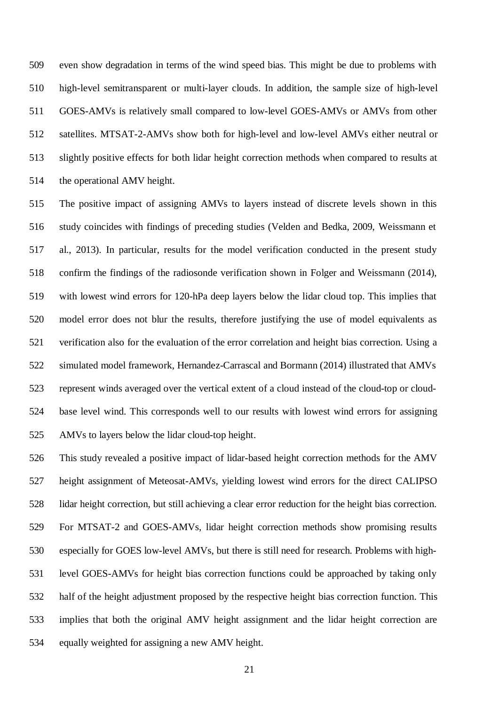even show degradation in terms of the wind speed bias. This might be due to problems with high-level semitransparent or multi-layer clouds. In addition, the sample size of high-level GOES-AMVs is relatively small compared to low-level GOES-AMVs or AMVs from other satellites. MTSAT-2-AMVs show both for high-level and low-level AMVs either neutral or slightly positive effects for both lidar height correction methods when compared to results at the operational AMV height.

 The positive impact of assigning AMVs to layers instead of discrete levels shown in this study coincides with findings of preceding studies (Velden and Bedka, 2009, Weissmann et al., 2013). In particular, results for the model verification conducted in the present study confirm the findings of the radiosonde verification shown in Folger and Weissmann (2014), with lowest wind errors for 120-hPa deep layers below the lidar cloud top. This implies that model error does not blur the results, therefore justifying the use of model equivalents as verification also for the evaluation of the error correlation and height bias correction. Using a simulated model framework, Hernandez-Carrascal and Bormann (2014) illustrated that AMVs represent winds averaged over the vertical extent of a cloud instead of the cloud-top or cloud- base level wind. This corresponds well to our results with lowest wind errors for assigning AMVs to layers below the lidar cloud-top height.

 This study revealed a positive impact of lidar-based height correction methods for the AMV height assignment of Meteosat-AMVs, yielding lowest wind errors for the direct CALIPSO lidar height correction, but still achieving a clear error reduction for the height bias correction. For MTSAT-2 and GOES-AMVs, lidar height correction methods show promising results especially for GOES low-level AMVs, but there is still need for research. Problems with high- level GOES-AMVs for height bias correction functions could be approached by taking only half of the height adjustment proposed by the respective height bias correction function. This implies that both the original AMV height assignment and the lidar height correction are equally weighted for assigning a new AMV height.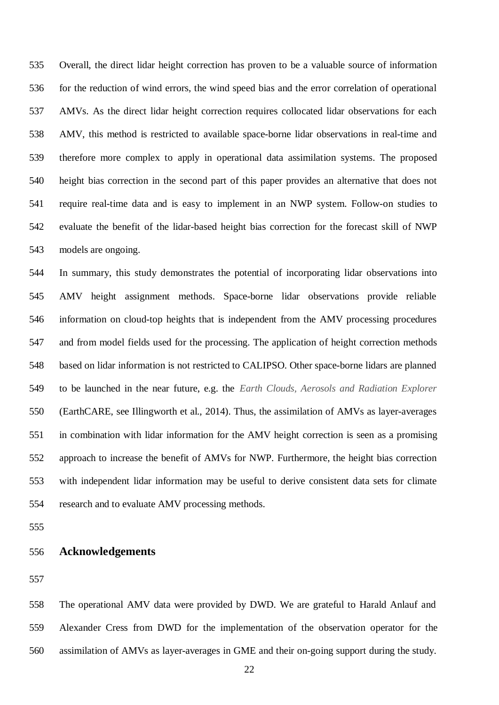Overall, the direct lidar height correction has proven to be a valuable source of information for the reduction of wind errors, the wind speed bias and the error correlation of operational AMVs. As the direct lidar height correction requires collocated lidar observations for each AMV, this method is restricted to available space-borne lidar observations in real-time and therefore more complex to apply in operational data assimilation systems. The proposed height bias correction in the second part of this paper provides an alternative that does not require real-time data and is easy to implement in an NWP system. Follow-on studies to evaluate the benefit of the lidar-based height bias correction for the forecast skill of NWP models are ongoing.

 In summary, this study demonstrates the potential of incorporating lidar observations into AMV height assignment methods. Space-borne lidar observations provide reliable information on cloud-top heights that is independent from the AMV processing procedures and from model fields used for the processing. The application of height correction methods based on lidar information is not restricted to CALIPSO. Other space-borne lidars are planned to be launched in the near future, e.g. the *Earth Clouds, Aerosols and Radiation Explorer* (EarthCARE, see Illingworth et al., 2014). Thus, the assimilation of AMVs as layer-averages in combination with lidar information for the AMV height correction is seen as a promising approach to increase the benefit of AMVs for NWP. Furthermore, the height bias correction with independent lidar information may be useful to derive consistent data sets for climate research and to evaluate AMV processing methods.

#### **Acknowledgements**

 The operational AMV data were provided by DWD. We are grateful to Harald Anlauf and Alexander Cress from DWD for the implementation of the observation operator for the assimilation of AMVs as layer-averages in GME and their on-going support during the study.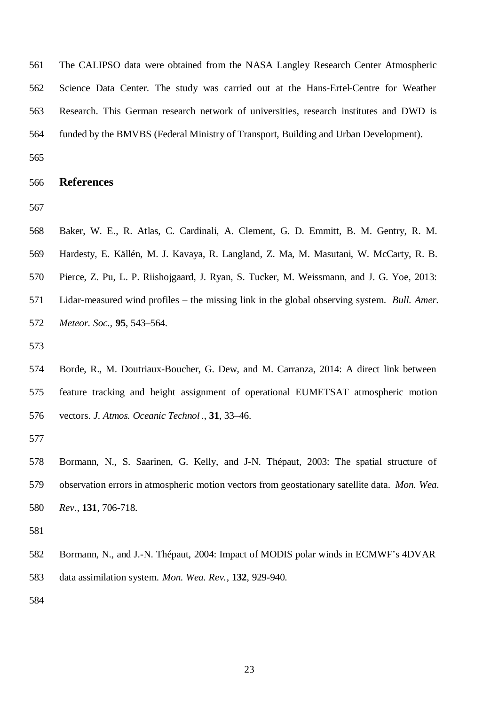The CALIPSO data were obtained from the NASA Langley Research Center Atmospheric Science Data Center. The study was carried out at the Hans-Ertel-Centre for Weather Research. This German research network of universities, research institutes and DWD is funded by the BMVBS (Federal Ministry of Transport, Building and Urban Development).

#### **References**

 Baker, W. E., R. Atlas, C. Cardinali, A. Clement, G. D. Emmitt, B. M. Gentry, R. M. Hardesty, E. Källén, M. J. Kavaya, R. Langland, Z. Ma, M. Masutani, W. McCarty, R. B. Pierce, Z. Pu, L. P. Riishojgaard, J. Ryan, S. Tucker, M. Weissmann, and J. G. Yoe, 2013: Lidar-measured wind profiles – the missing link in the global observing system. *Bull. Amer. Meteor. Soc.,* **95**, 543–564.

 Bormann, N., and J.-N. Thépaut, 2004: Impact of MODIS polar winds in ECMWF's 4DVAR data assimilation system. *Mon. Wea. Rev.*, **132**, 929-940.

 Borde, R., M. Doutriaux-Boucher, G. Dew, and M. Carranza, 2014: A direct link between feature tracking and height assignment of operational EUMETSAT atmospheric motion vectors*. J. Atmos. Oceanic Technol* ., **31**, 33–46.

 Bormann, N., S. Saarinen, G. Kelly, and J-N. Thépaut, 2003: The spatial structure of observation errors in atmospheric motion vectors from geostationary satellite data. *Mon. Wea. Rev.*, **131**, 706-718.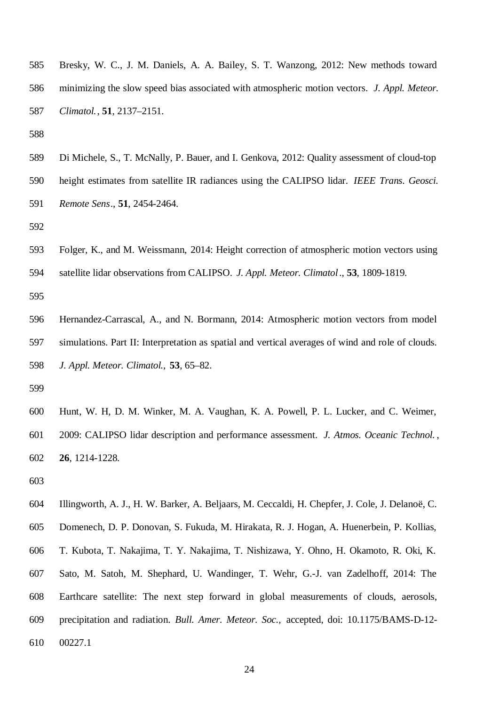- Bresky, W. C., J. M. Daniels, A. A. Bailey, S. T. Wanzong, 2012: New methods toward minimizing the slow speed bias associated with atmospheric motion vectors. *J. Appl. Meteor. Climatol.*, **51**, 2137–2151.
- 
- Di Michele, S., T. McNally, P. Bauer, and I. Genkova, 2012: Quality assessment of cloud-top
- height estimates from satellite IR radiances using the CALIPSO lidar. *IEEE Trans. Geosci. Remote Sens*., **51**, 2454-2464.
- 
- Folger, K., and M. Weissmann, 2014: Height correction of atmospheric motion vectors using
- satellite lidar observations from CALIPSO. *J. Appl. Meteor. Climatol*., **53**, 1809-1819.
- 
- Hernandez-Carrascal, A., and N. Bormann, 2014: Atmospheric motion vectors from model simulations. Part II: Interpretation as spatial and vertical averages of wind and role of clouds. *J. Appl. Meteor. Climatol.,* **53**, 65–82.
- 
- Hunt, W. H, D. M. Winker, M. A. Vaughan, K. A. Powell, P. L. Lucker, and C. Weimer, 2009: CALIPSO lidar description and performance assessment. *J. Atmos. Oceanic Technol.* , **26**, 1214-1228.
- 
- Illingworth, A. J., H. W. Barker, A. Beljaars, M. Ceccaldi, H. Chepfer, J. Cole, J. Delanoë, C.
- Domenech, D. P. Donovan, S. Fukuda, M. Hirakata, R. J. Hogan, A. Huenerbein, P. Kollias, T. Kubota, T. Nakajima, T. Y. Nakajima, T. Nishizawa, Y. Ohno, H. Okamoto, R. Oki, K. Sato, M. Satoh, M. Shephard, U. Wandinger, T. Wehr, G.-J. van Zadelhoff, 2014: The Earthcare satellite: The next step forward in global measurements of clouds, aerosols, precipitation and radiation. *Bull. Amer. Meteor. Soc.,* accepted, doi: 10.1175/BAMS-D-12- 00227.1
	-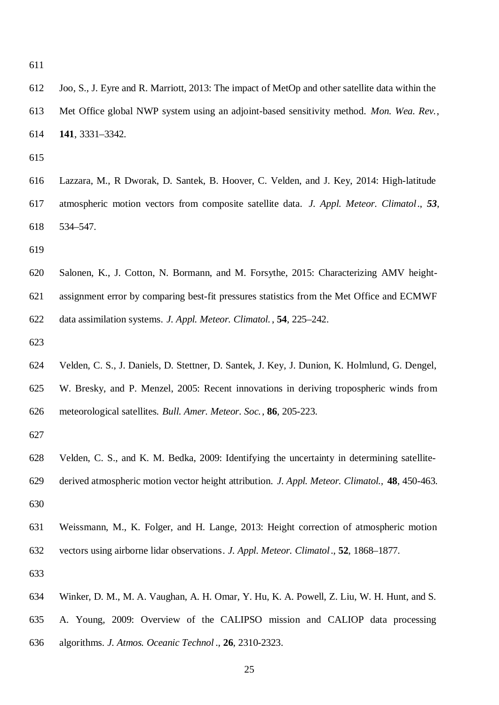- Joo, S., J. Eyre and R. Marriott, 2013: The impact of MetOp and other satellite data within the Met Office global NWP system using an adjoint-based sensitivity method. *Mon. Wea. Rev.*, **141**, 3331–3342.
- 
- Lazzara, M., R Dworak, D. Santek, B. Hoover, C. Velden, and J. Key, 2014: High-latitude atmospheric motion vectors from composite satellite data. *J. Appl. Meteor. Climatol*., *53*, 534–547.
- 
- Salonen, K., J. Cotton, N. Bormann, and M. Forsythe, 2015: Characterizing AMV height- assignment error by comparing best-fit pressures statistics from the Met Office and ECMWF data assimilation systems. *J. Appl. Meteor. Climatol.* , **54**, 225–242.
- 
- Velden, C. S., J. Daniels, D. Stettner, D. Santek, J. Key, J. Dunion, K. Holmlund, G. Dengel, W. Bresky, and P. Menzel, 2005: Recent innovations in deriving tropospheric winds from meteorological satellites. *Bull. Amer. Meteor. Soc.*, **86**, 205-223.
- 
- Velden, C. S., and K. M. Bedka, 2009: Identifying the uncertainty in determining satellite- derived atmospheric motion vector height attribution. *J. Appl. Meteor. Climatol.,* **48**, 450-463.
- Weissmann, M., K. Folger, and H. Lange, 2013: Height correction of atmospheric motion vectors using airborne lidar observations*. J. Appl. Meteor. Climatol*., **52**, 1868–1877.
- 
- Winker, D. M., M. A. Vaughan, A. H. Omar, Y. Hu, K. A. Powell, Z. Liu, W. H. Hunt, and S.
- A. Young, 2009: Overview of the CALIPSO mission and CALIOP data processing
- algorithms. *J. Atmos. Oceanic Technol* ., **26**, 2310-2323.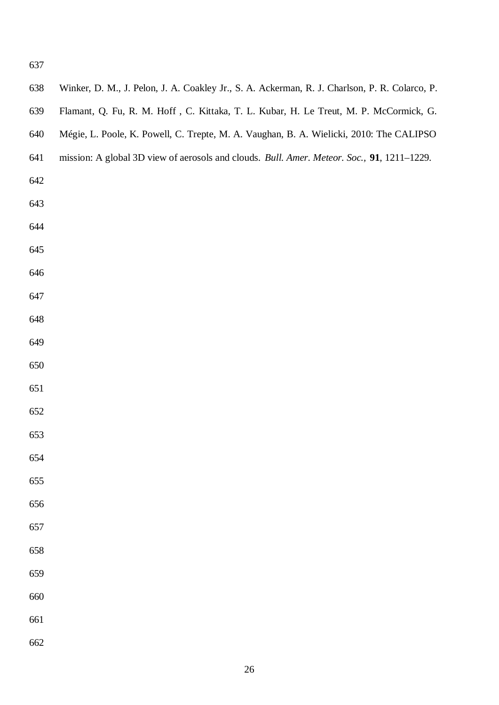| 638 | Winker, D. M., J. Pelon, J. A. Coakley Jr., S. A. Ackerman, R. J. Charlson, P. R. Colarco, P. |
|-----|-----------------------------------------------------------------------------------------------|
| 639 | Flamant, Q. Fu, R. M. Hoff, C. Kittaka, T. L. Kubar, H. Le Treut, M. P. McCormick, G.         |
| 640 | Mégie, L. Poole, K. Powell, C. Trepte, M. A. Vaughan, B. A. Wielicki, 2010: The CALIPSO       |
| 641 | mission: A global 3D view of aerosols and clouds. Bull. Amer. Meteor. Soc., 91, 1211-1229.    |
| 642 |                                                                                               |
| 643 |                                                                                               |
| 644 |                                                                                               |
| 645 |                                                                                               |
| 646 |                                                                                               |
| 647 |                                                                                               |
| 648 |                                                                                               |
| 649 |                                                                                               |
| 650 |                                                                                               |
| 651 |                                                                                               |
| 652 |                                                                                               |
| 653 |                                                                                               |
| 654 |                                                                                               |
| 655 |                                                                                               |
| 656 |                                                                                               |
| 657 |                                                                                               |
| 658 |                                                                                               |
| 659 |                                                                                               |
| 660 |                                                                                               |
| 661 |                                                                                               |
| 662 |                                                                                               |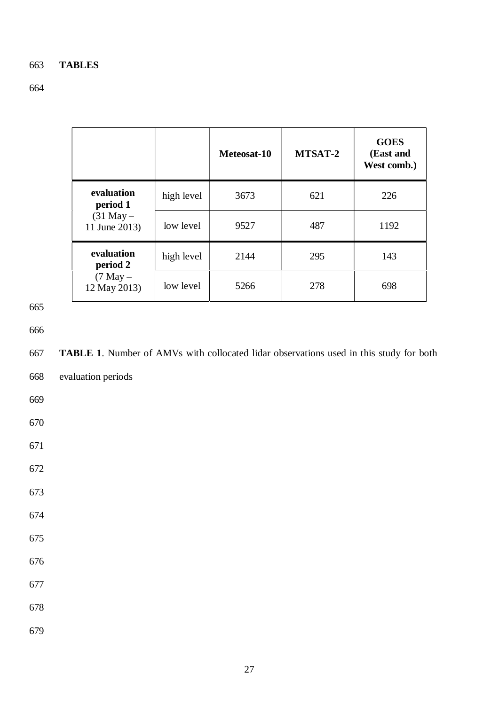# 663 **TABLES**

# 664

|                                |            | Meteosat-10 | MTSAT-2 | <b>GOES</b><br>(East and<br>West comb.) |
|--------------------------------|------------|-------------|---------|-----------------------------------------|
| evaluation<br>period 1         | high level | 3673        | 621     | 226                                     |
| $(31$ May $-$<br>11 June 2013) | low level  | 9527        | 487     | 1192                                    |
| evaluation<br>period 2         | high level | 2144        | 295     | 143                                     |
| $(7$ May $-$<br>12 May 2013)   | low level  | 5266        | 278     | 698                                     |

665

666

667 **TABLE 1**. Number of AMVs with collocated lidar observations used in this study for both 668 evaluation periods 669 670 671 672 673 674 675 676 677

678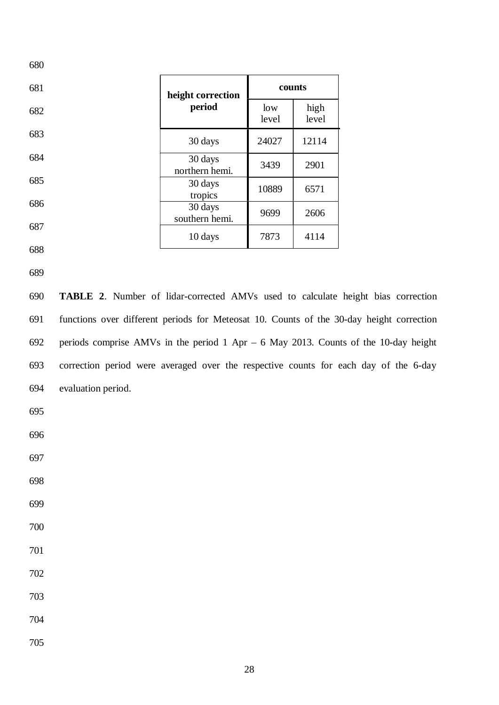| 680                  |                           |              |               |  |
|----------------------|---------------------------|--------------|---------------|--|
| 681                  | height correction         | counts       |               |  |
| 682                  | period                    | low<br>level | high<br>level |  |
| 683                  | 30 days                   | 24027        | 12114         |  |
| 684                  | 30 days<br>northern hemi. | 3439         | 2901          |  |
| 685                  | 30 days<br>tropics        | 10889        | 6571          |  |
| 686                  | 30 days<br>southern hemi. | 9699         | 2606          |  |
| 687<br>$\sim$ $\sim$ | 10 days                   | 7873         | 4114          |  |
|                      |                           |              |               |  |

- 
- 

 **TABLE 2**. Number of lidar-corrected AMVs used to calculate height bias correction functions over different periods for Meteosat 10. Counts of the 30-day height correction periods comprise AMVs in the period 1 Apr – 6 May 2013. Counts of the 10-day height correction period were averaged over the respective counts for each day of the 6-day evaluation period.

- 
- 
- 
- 
- 
- 
- 
- 
- 
- 
- 
-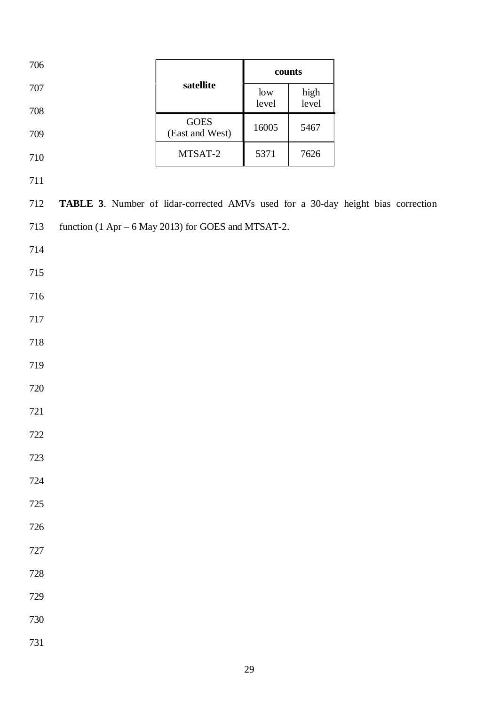| 706     |                                                                                  |                               | $\rm \bf counts$ |       |  |
|---------|----------------------------------------------------------------------------------|-------------------------------|------------------|-------|--|
| $707\,$ |                                                                                  | satellite                     | low              | high  |  |
| 708     |                                                                                  |                               | level            | level |  |
| 709     |                                                                                  | $\rm GOES$<br>(East and West) | 16005            | 5467  |  |
| 710     |                                                                                  | MTSAT-2                       | 5371             | 7626  |  |
| 711     |                                                                                  |                               |                  |       |  |
| 712     | TABLE 3. Number of lidar-corrected AMVs used for a 30-day height bias correction |                               |                  |       |  |
| 713     | function (1 Apr – 6 May 2013) for GOES and MTSAT-2.                              |                               |                  |       |  |
| 714     |                                                                                  |                               |                  |       |  |
| $715\,$ |                                                                                  |                               |                  |       |  |
| 716     |                                                                                  |                               |                  |       |  |
| $717\,$ |                                                                                  |                               |                  |       |  |
| 718     |                                                                                  |                               |                  |       |  |
| 719     |                                                                                  |                               |                  |       |  |
| 720     |                                                                                  |                               |                  |       |  |
| 721     |                                                                                  |                               |                  |       |  |
| $722\,$ |                                                                                  |                               |                  |       |  |
| 723     |                                                                                  |                               |                  |       |  |
| 724     |                                                                                  |                               |                  |       |  |
| $725\,$ |                                                                                  |                               |                  |       |  |
| 726     |                                                                                  |                               |                  |       |  |
| $727\,$ |                                                                                  |                               |                  |       |  |
| 728     |                                                                                  |                               |                  |       |  |
| 729     |                                                                                  |                               |                  |       |  |
| 730     |                                                                                  |                               |                  |       |  |
| 731     |                                                                                  |                               |                  |       |  |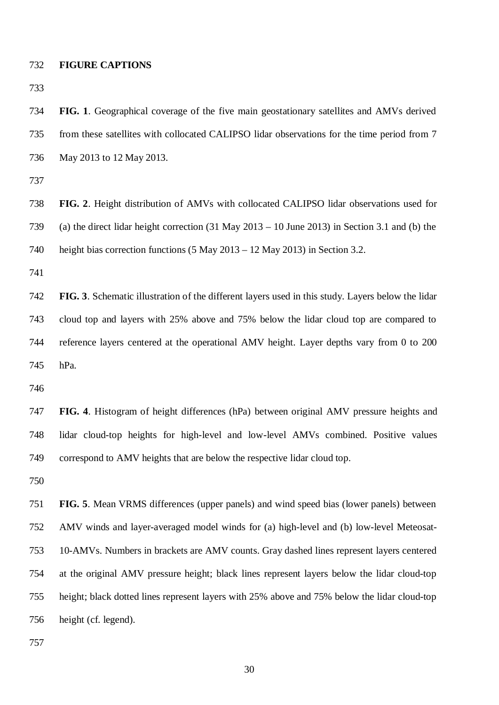#### **FIGURE CAPTIONS**

 **FIG. 1**. Geographical coverage of the five main geostationary satellites and AMVs derived from these satellites with collocated CALIPSO lidar observations for the time period from 7 May 2013 to 12 May 2013.

 **FIG. 2**. Height distribution of AMVs with collocated CALIPSO lidar observations used for (a) the direct lidar height correction (31 May 2013 – 10 June 2013) in Section 3.1 and (b) the height bias correction functions (5 May 2013 – 12 May 2013) in Section 3.2.

 **FIG. 3**. Schematic illustration of the different layers used in this study. Layers below the lidar cloud top and layers with 25% above and 75% below the lidar cloud top are compared to reference layers centered at the operational AMV height. Layer depths vary from 0 to 200 hPa.

 **FIG. 4**. Histogram of height differences (hPa) between original AMV pressure heights and lidar cloud-top heights for high-level and low-level AMVs combined. Positive values correspond to AMV heights that are below the respective lidar cloud top.

 **FIG. 5**. Mean VRMS differences (upper panels) and wind speed bias (lower panels) between AMV winds and layer-averaged model winds for (a) high-level and (b) low-level Meteosat- 10-AMVs. Numbers in brackets are AMV counts. Gray dashed lines represent layers centered at the original AMV pressure height; black lines represent layers below the lidar cloud-top height; black dotted lines represent layers with 25% above and 75% below the lidar cloud-top height (cf. legend).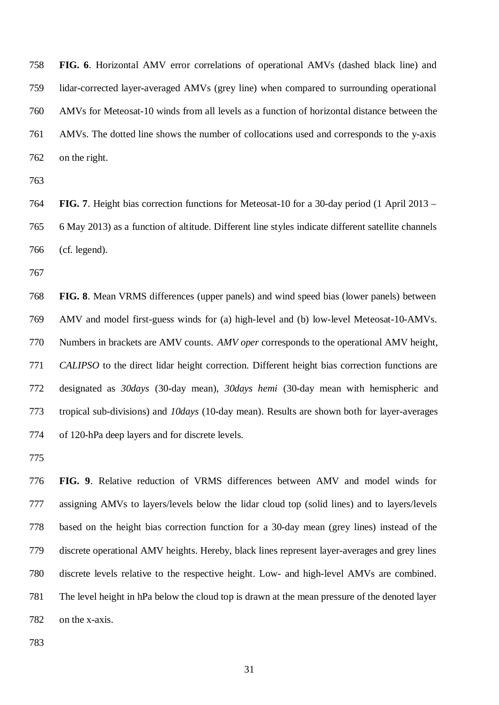**FIG. 6**. Horizontal AMV error correlations of operational AMVs (dashed black line) and lidar-corrected layer-averaged AMVs (grey line) when compared to surrounding operational AMVs for Meteosat-10 winds from all levels as a function of horizontal distance between the AMVs. The dotted line shows the number of collocations used and corresponds to the y-axis on the right.

 **FIG. 7**. Height bias correction functions for Meteosat-10 for a 30-day period (1 April 2013 – 6 May 2013) as a function of altitude. Different line styles indicate different satellite channels (cf. legend).

 **FIG. 8**. Mean VRMS differences (upper panels) and wind speed bias (lower panels) between AMV and model first-guess winds for (a) high-level and (b) low-level Meteosat-10-AMVs. Numbers in brackets are AMV counts. *AMV oper* corresponds to the operational AMV height, *CALIPSO* to the direct lidar height correction. Different height bias correction functions are designated as *30days* (30-day mean), *30days hemi* (30-day mean with hemispheric and tropical sub-divisions) and *10days* (10-day mean). Results are shown both for layer-averages of 120-hPa deep layers and for discrete levels.

 **FIG. 9**. Relative reduction of VRMS differences between AMV and model winds for assigning AMVs to layers/levels below the lidar cloud top (solid lines) and to layers/levels based on the height bias correction function for a 30-day mean (grey lines) instead of the discrete operational AMV heights. Hereby, black lines represent layer-averages and grey lines discrete levels relative to the respective height. Low- and high-level AMVs are combined. The level height in hPa below the cloud top is drawn at the mean pressure of the denoted layer on the x-axis.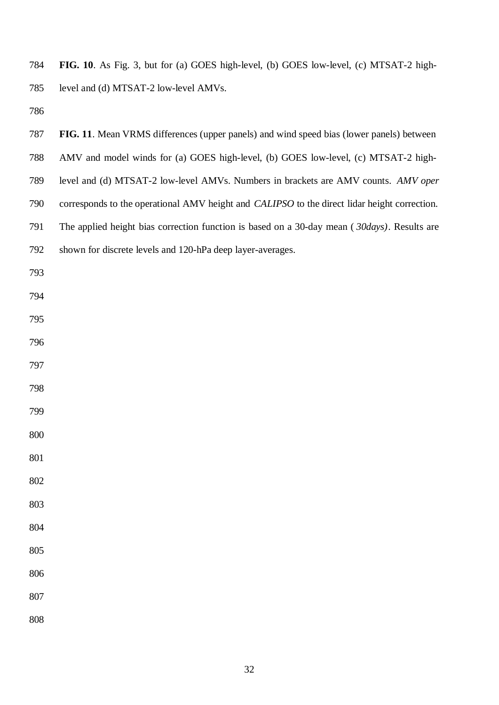**FIG. 10**. As Fig. 3, but for (a) GOES high-level, (b) GOES low-level, (c) MTSAT-2 high-level and (d) MTSAT-2 low-level AMVs.

| 787 | FIG. 11. Mean VRMS differences (upper panels) and wind speed bias (lower panels) between     |
|-----|----------------------------------------------------------------------------------------------|
| 788 | AMV and model winds for (a) GOES high-level, (b) GOES low-level, (c) MTSAT-2 high-           |
| 789 | level and (d) MTSAT-2 low-level AMVs. Numbers in brackets are AMV counts. AMV oper           |
| 790 | corresponds to the operational AMV height and CALIPSO to the direct lidar height correction. |
| 791 | The applied height bias correction function is based on a 30-day mean (30days). Results are  |
| 792 | shown for discrete levels and 120-hPa deep layer-averages.                                   |
| 793 |                                                                                              |
| 794 |                                                                                              |
| 795 |                                                                                              |
| 796 |                                                                                              |
| 797 |                                                                                              |
| 798 |                                                                                              |
| 799 |                                                                                              |
| 800 |                                                                                              |
| 801 |                                                                                              |
| 802 |                                                                                              |
| 803 |                                                                                              |
| 804 |                                                                                              |
| 805 |                                                                                              |
| 806 |                                                                                              |
| 807 |                                                                                              |
| 808 |                                                                                              |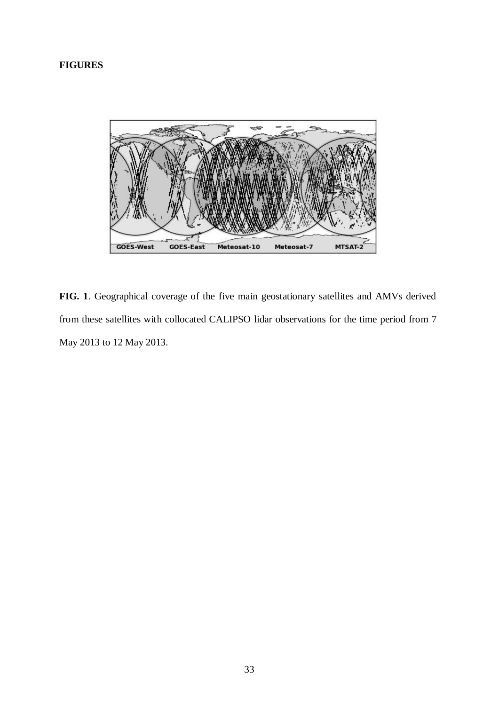# **FIGURES**



**FIG. 1**. Geographical coverage of the five main geostationary satellites and AMVs derived from these satellites with collocated CALIPSO lidar observations for the time period from 7 May 2013 to 12 May 2013.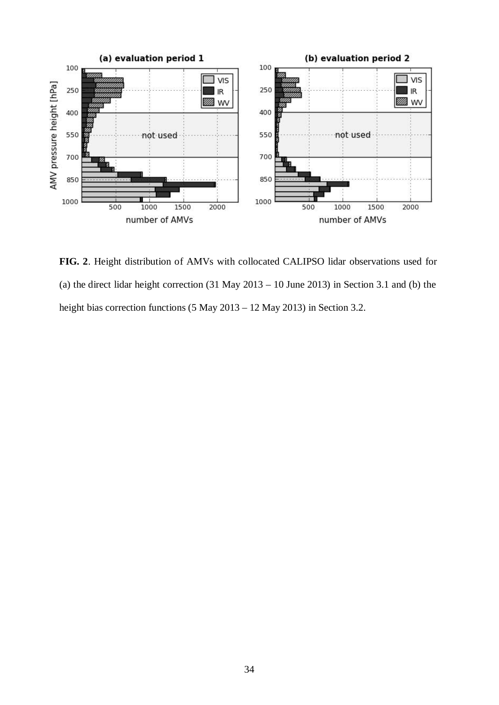

**FIG. 2**. Height distribution of AMVs with collocated CALIPSO lidar observations used for (a) the direct lidar height correction  $(31$  May  $2013 - 10$  June 2013) in Section 3.1 and (b) the height bias correction functions (5 May 2013 – 12 May 2013) in Section 3.2.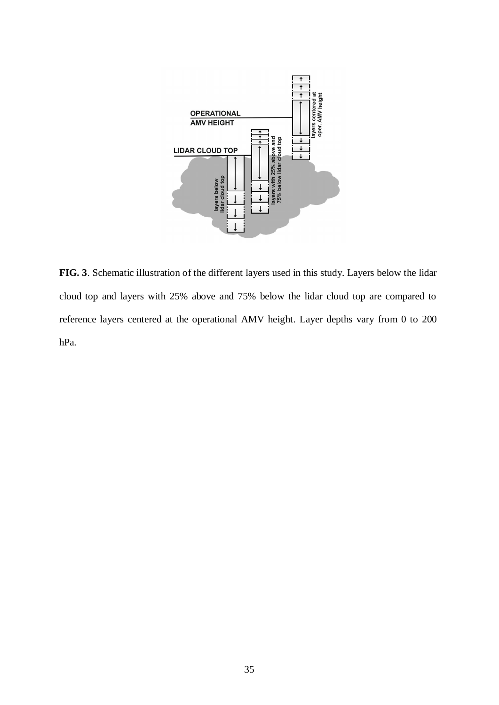

**FIG. 3**. Schematic illustration of the different layers used in this study. Layers below the lidar cloud top and layers with 25% above and 75% below the lidar cloud top are compared to reference layers centered at the operational AMV height. Layer depths vary from 0 to 200 hPa.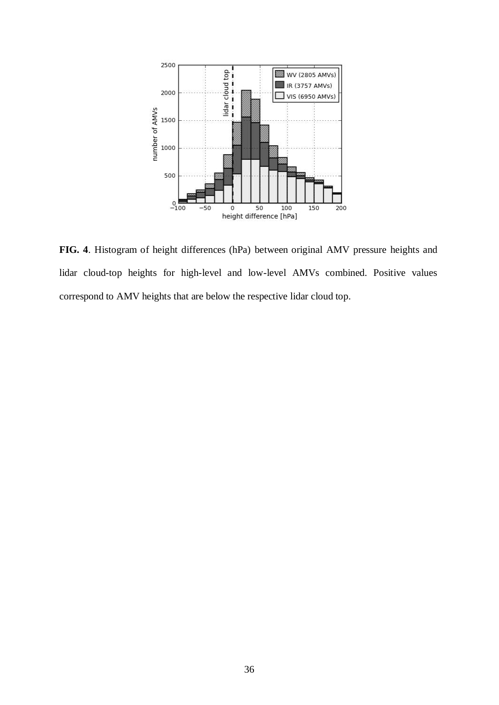

**FIG. 4**. Histogram of height differences (hPa) between original AMV pressure heights and lidar cloud-top heights for high-level and low-level AMVs combined. Positive values correspond to AMV heights that are below the respective lidar cloud top.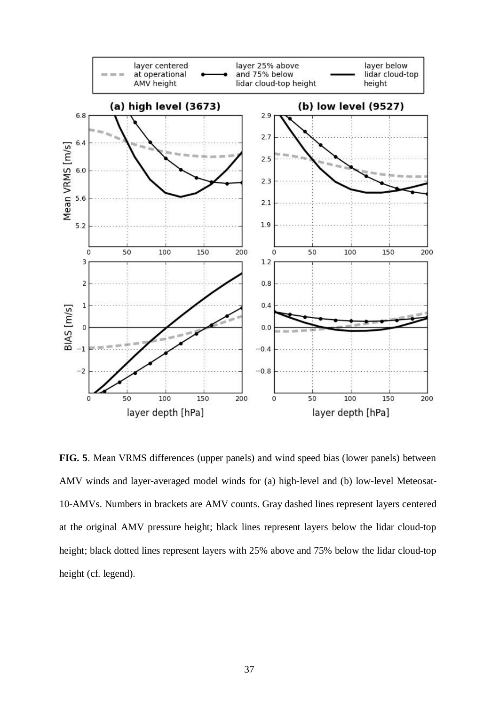

**FIG. 5**. Mean VRMS differences (upper panels) and wind speed bias (lower panels) between AMV winds and layer-averaged model winds for (a) high-level and (b) low-level Meteosat-10-AMVs. Numbers in brackets are AMV counts. Gray dashed lines represent layers centered at the original AMV pressure height; black lines represent layers below the lidar cloud-top height; black dotted lines represent layers with 25% above and 75% below the lidar cloud-top height (cf. legend).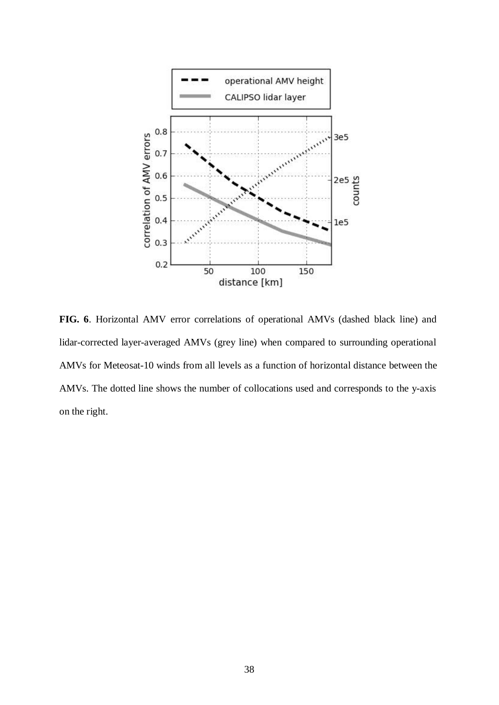

**FIG. 6**. Horizontal AMV error correlations of operational AMVs (dashed black line) and lidar-corrected layer-averaged AMVs (grey line) when compared to surrounding operational AMVs for Meteosat-10 winds from all levels as a function of horizontal distance between the AMVs. The dotted line shows the number of collocations used and corresponds to the y-axis on the right.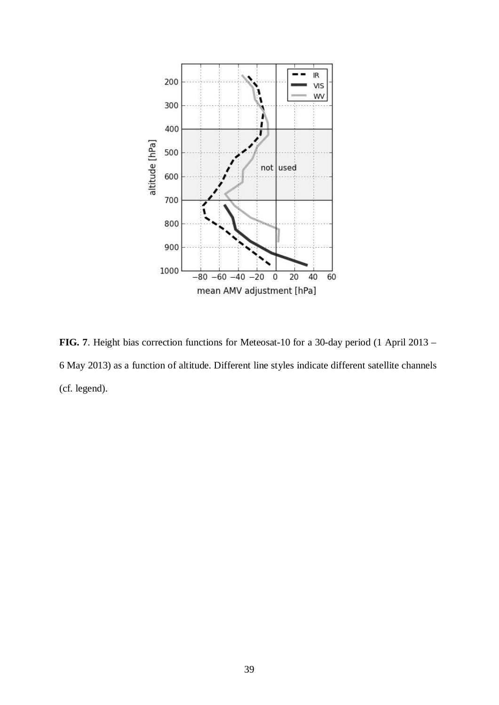

**FIG. 7**. Height bias correction functions for Meteosat-10 for a 30-day period (1 April 2013 – 6 May 2013) as a function of altitude. Different line styles indicate different satellite channels (cf. legend).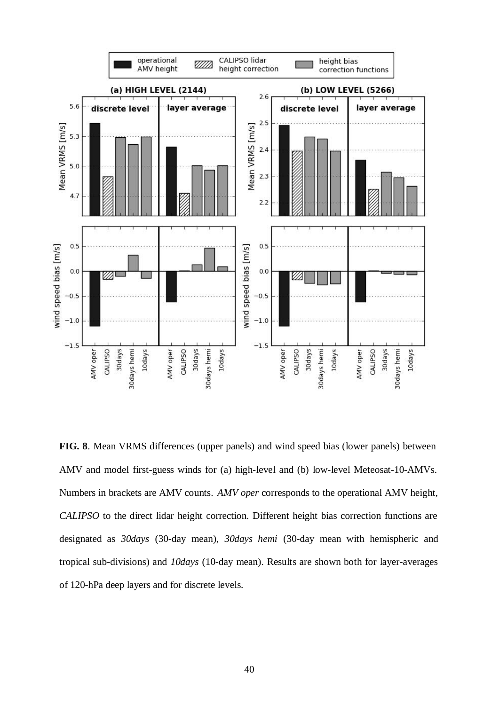

**FIG. 8**. Mean VRMS differences (upper panels) and wind speed bias (lower panels) between AMV and model first-guess winds for (a) high-level and (b) low-level Meteosat-10-AMVs. Numbers in brackets are AMV counts. *AMV oper* corresponds to the operational AMV height, *CALIPSO* to the direct lidar height correction. Different height bias correction functions are designated as *30days* (30-day mean), *30days hemi* (30-day mean with hemispheric and tropical sub-divisions) and *10days* (10-day mean). Results are shown both for layer-averages of 120-hPa deep layers and for discrete levels.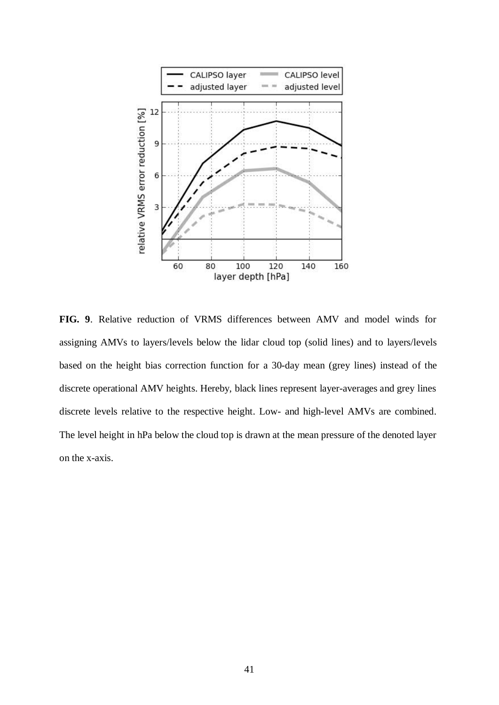

**FIG. 9**. Relative reduction of VRMS differences between AMV and model winds for assigning AMVs to layers/levels below the lidar cloud top (solid lines) and to layers/levels based on the height bias correction function for a 30-day mean (grey lines) instead of the discrete operational AMV heights. Hereby, black lines represent layer-averages and grey lines discrete levels relative to the respective height. Low- and high-level AMVs are combined. The level height in hPa below the cloud top is drawn at the mean pressure of the denoted layer on the x-axis.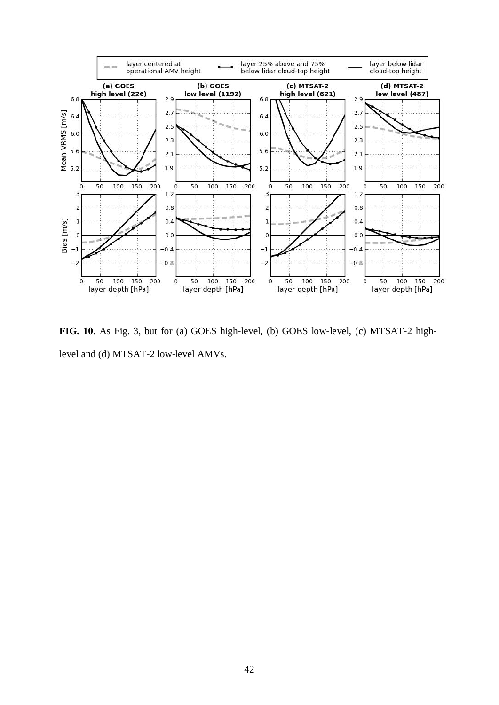

**FIG. 10**. As Fig. 3, but for (a) GOES high-level, (b) GOES low-level, (c) MTSAT-2 highlevel and (d) MTSAT-2 low-level AMVs.